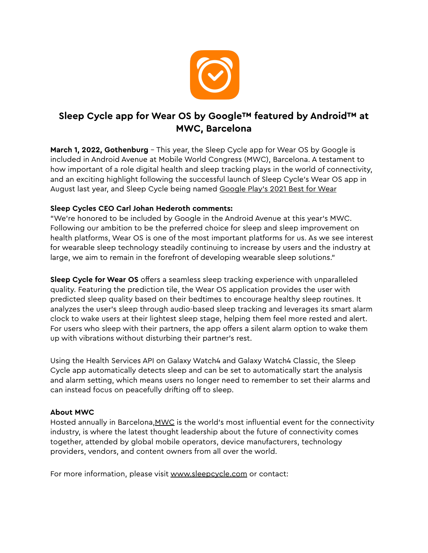

## **Sleep Cycle app for Wear OS by Google™ featured by Android™ at MWC, Barcelona**

**March 1, 2022, Gothenburg** - This year, the Sleep Cycle app for Wear OS by Google is included in Android Avenue at Mobile World Congress (MWC), Barcelona. A testament to how important of a role digital health and sleep tracking plays in the world of connectivity, and an exciting highlight following the successful launch of Sleep Cycle's Wear OS app in August last year, and Sleep Cycle being named [Google Play's 2021 Best for Wear](https://blog.google/products/google-play/google-plays-best-of-2021/)

## **Sleep Cycles CEO Carl Johan Hederoth comments:**

"We're honored to be included by Google in the Android Avenue at this year's MWC. Following our ambition to be the preferred choice for sleep and sleep improvement on health platforms, Wear OS is one of the most important platforms for us. As we see interest for wearable sleep technology steadily continuing to increase by users and the industry at large, we aim to remain in the forefront of developing wearable sleep solutions."

**Sleep Cycle for Wear OS** offers a seamless sleep tracking experience with unparalleled quality. Featuring the prediction tile, the Wear OS application provides the user with predicted sleep quality based on their bedtimes to encourage healthy sleep routines. It analyzes the user's sleep through audio-based sleep tracking and leverages its smart alarm clock to wake users at their lightest sleep stage, helping them feel more rested and alert. For users who sleep with their partners, the app offers a silent alarm option to wake them up with vibrations without disturbing their partner's rest.

Using the Health Services API on Galaxy Watch4 and Galaxy Watch4 Classic, the Sleep Cycle app automatically detects sleep and can be set to automatically start the analysis and alarm setting, which means users no longer need to remember to set their alarms and can instead focus on peacefully drifting off to sleep.

## **About MWC**

Hosted annually in Barcelona, [MWC](https://www.mwcbarcelona.com/attend/registration?utm_source=google&utm_medium=cpc&utm_campaign=awareness&gclid=Cj0KCQiAmeKQBhDvARIsAHJ7mF5moBnXEFgaltqmxGjgBg8cqeGIVDSoQhmQlNSZ9VVlN8_9O2mqnfsaAldXEALw_wcB) is the world's most influential event for the connectivity industry, is where the latest thought leadership about the future of connectivity comes together, attended by global mobile operators, device manufacturers, technology providers, vendors, and content owners from all over the world.

For more information, please visit [www.sleepcycle.com](http://www.sleepcycle.com/) or contact: